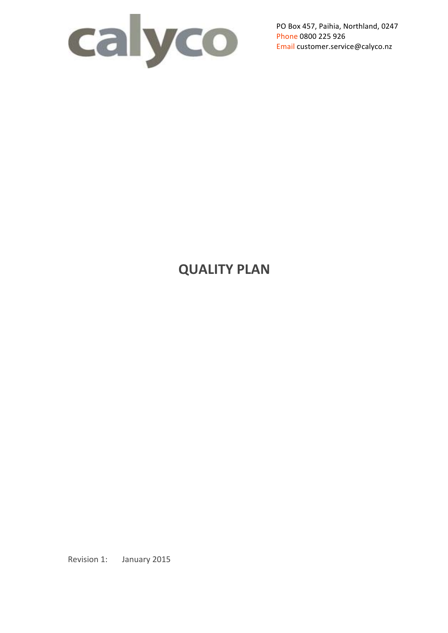

PO Box 457, Paihia, Northland, 0247 Phone 0800 225 926 Email customer.service@calyco.nz

# **QUALITY PLAN**

Revision 1: January 2015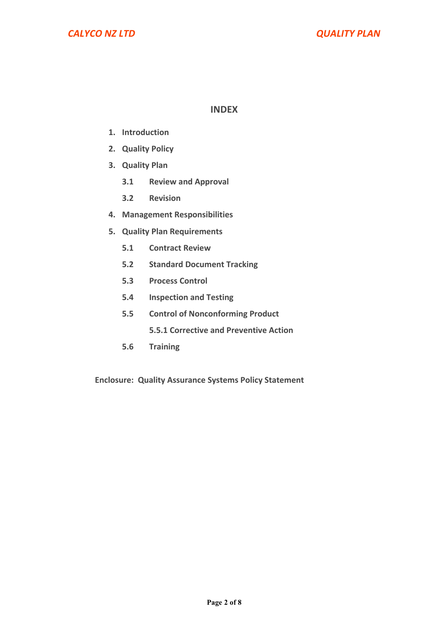#### **INDEX**

- **1. Introduction**
- **2. Quality Policy**
- **3. Quality Plan**
	- **3.1 Review and Approval**
	- **3.2 Revision**
- **4. Management Responsibilities**
- **5. Quality Plan Requirements**
	- **5.1 Contract Review**
	- **5.2 Standard Document Tracking**
	- **5.3 Process Control**
	- **5.4 Inspection and Testing**
	- **5.5 Control of Nonconforming Product**

**5.5.1 Corrective and Preventive Action** 

**5.6 Training**

**Enclosure: Quality Assurance Systems Policy Statement**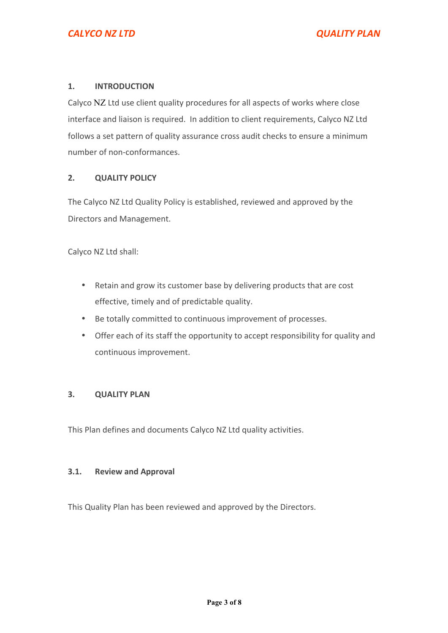#### **1. INTRODUCTION**

Calyco NZ Ltd use client quality procedures for all aspects of works where close interface and liaison is required. In addition to client requirements, Calyco NZ Ltd follows a set pattern of quality assurance cross audit checks to ensure a minimum number of non-conformances.

#### **2. QUALITY POLICY**

The Calyco NZ Ltd Quality Policy is established, reviewed and approved by the Directors and Management.

Calyco NZ Ltd shall:

- Retain and grow its customer base by delivering products that are cost effective, timely and of predictable quality.
- Be totally committed to continuous improvement of processes.
- Offer each of its staff the opportunity to accept responsibility for quality and continuous improvement.

#### **3. QUALITY PLAN**

This Plan defines and documents Calyco NZ Ltd quality activities.

#### **3.1. Review and Approval**

This Quality Plan has been reviewed and approved by the Directors.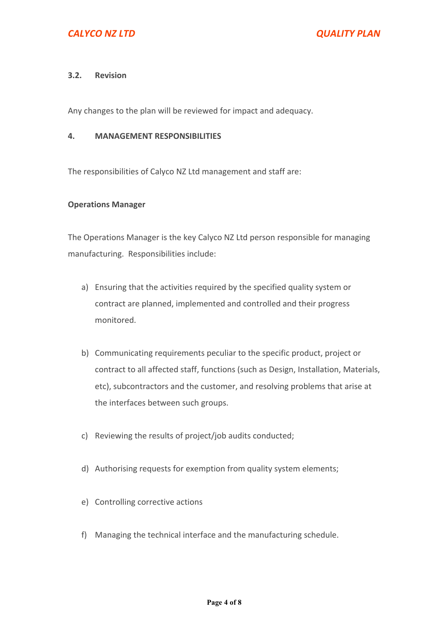#### **3.2. Revision**

Any changes to the plan will be reviewed for impact and adequacy.

#### **4. MANAGEMENT RESPONSIBILITIES**

The responsibilities of Calyco NZ Ltd management and staff are:

#### **Operations Manager**

The Operations Manager is the key Calyco NZ Ltd person responsible for managing manufacturing. Responsibilities include:

- a) Ensuring that the activities required by the specified quality system or contract are planned, implemented and controlled and their progress monitored.
- b) Communicating requirements peculiar to the specific product, project or contract to all affected staff, functions (such as Design, Installation, Materials, etc), subcontractors and the customer, and resolving problems that arise at the interfaces between such groups.
- c) Reviewing the results of project/job audits conducted;
- d) Authorising requests for exemption from quality system elements;
- e) Controlling corrective actions
- f) Managing the technical interface and the manufacturing schedule.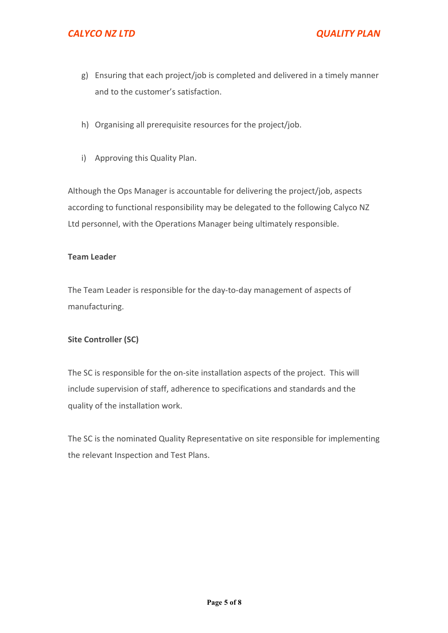# *CALYCO NZ LTD QUALITY PLAN*

- g) Ensuring that each project/job is completed and delivered in a timely manner and to the customer's satisfaction.
- h) Organising all prerequisite resources for the project/job.
- i) Approving this Quality Plan.

Although the Ops Manager is accountable for delivering the project/job, aspects according to functional responsibility may be delegated to the following Calyco NZ Ltd personnel, with the Operations Manager being ultimately responsible.

#### **Team Leader**

The Team Leader is responsible for the day-to-day management of aspects of manufacturing.

# **Site Controller (SC)**

The SC is responsible for the on-site installation aspects of the project. This will include supervision of staff, adherence to specifications and standards and the quality of the installation work.

The SC is the nominated Quality Representative on site responsible for implementing the relevant Inspection and Test Plans.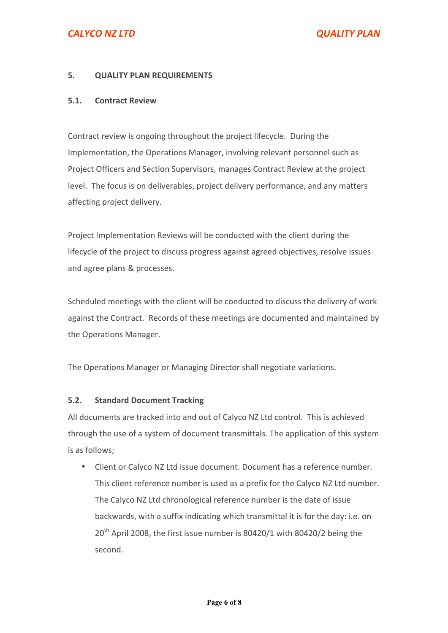# **CALYCO NZ LTD** *CALYCO NZ LTD*

#### **5. QUALITY PLAN REQUIREMENTS**

#### **5.1. Contract Review**

Contract review is ongoing throughout the project lifecycle. During the Implementation, the Operations Manager, involving relevant personnel such as Project Officers and Section Supervisors, manages Contract Review at the project level. The focus is on deliverables, project delivery performance, and any matters affecting project delivery.

Project Implementation Reviews will be conducted with the client during the lifecycle of the project to discuss progress against agreed objectives, resolve issues and agree plans & processes.

Scheduled meetings with the client will be conducted to discuss the delivery of work against the Contract. Records of these meetings are documented and maintained by the Operations Manager.

The Operations Manager or Managing Director shall negotiate variations.

# **5.2. Standard Document Tracking**

All documents are tracked into and out of Calyco NZ Ltd control. This is achieved through the use of a system of document transmittals. The application of this system is as follows:

• Client or Calyco NZ Ltd issue document. Document has a reference number. This client reference number is used as a prefix for the Calyco NZ Ltd number. The Calyco NZ Ltd chronological reference number is the date of issue backwards, with a suffix indicating which transmittal it is for the day: i.e. on 20<sup>th</sup> April 2008, the first issue number is 80420/1 with 80420/2 being the second.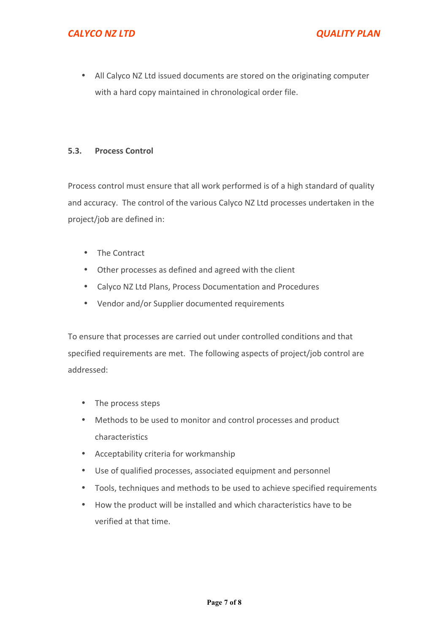• All Calyco NZ Ltd issued documents are stored on the originating computer with a hard copy maintained in chronological order file.

#### **5.3. Process Control**

Process control must ensure that all work performed is of a high standard of quality and accuracy. The control of the various Calyco NZ Ltd processes undertaken in the project/job are defined in:

- The Contract
- Other processes as defined and agreed with the client
- Calyco NZ Ltd Plans, Process Documentation and Procedures
- Vendor and/or Supplier documented requirements

To ensure that processes are carried out under controlled conditions and that specified requirements are met. The following aspects of project/job control are addressed:

- The process steps
- Methods to be used to monitor and control processes and product characteristics
- Acceptability criteria for workmanship
- Use of qualified processes, associated equipment and personnel
- Tools, techniques and methods to be used to achieve specified requirements
- How the product will be installed and which characteristics have to be verified at that time.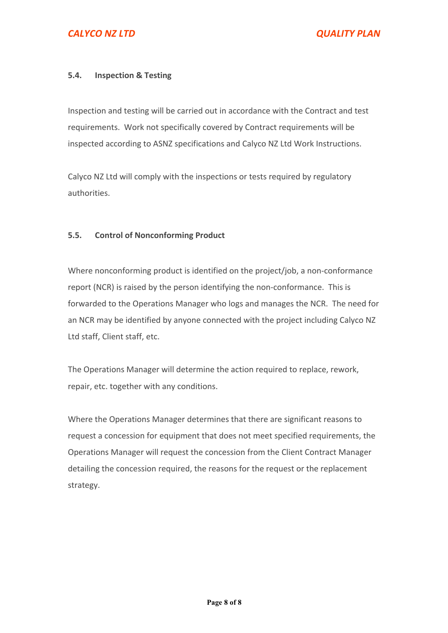# **5.4. Inspection & Testing**

Inspection and testing will be carried out in accordance with the Contract and test requirements. Work not specifically covered by Contract requirements will be inspected according to ASNZ specifications and Calyco NZ Ltd Work Instructions.

Calyco NZ Ltd will comply with the inspections or tests required by regulatory authorities.

#### **5.5. Control of Nonconforming Product**

Where nonconforming product is identified on the project/job, a non-conformance report (NCR) is raised by the person identifying the non-conformance. This is forwarded to the Operations Manager who logs and manages the NCR. The need for an NCR may be identified by anyone connected with the project including Calyco NZ Ltd staff, Client staff, etc.

The Operations Manager will determine the action required to replace, rework, repair, etc. together with any conditions.

Where the Operations Manager determines that there are significant reasons to request a concession for equipment that does not meet specified requirements, the Operations Manager will request the concession from the Client Contract Manager detailing the concession required, the reasons for the request or the replacement strategy.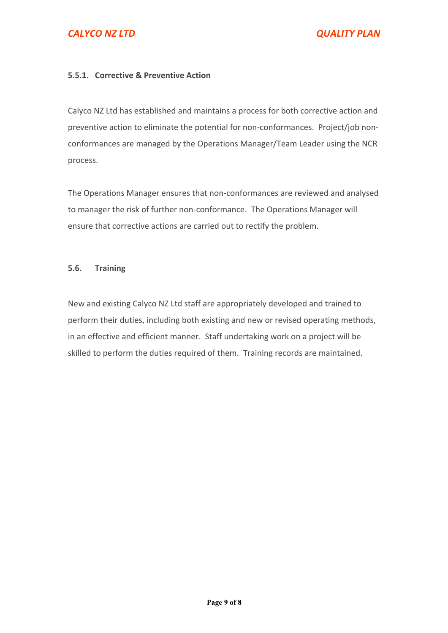# *CALYCO NZ LTD QUALITY PLAN*

#### **5.5.1. Corrective & Preventive Action**

Calyco NZ Ltd has established and maintains a process for both corrective action and preventive action to eliminate the potential for non-conformances. Project/job nonconformances are managed by the Operations Manager/Team Leader using the NCR process.

The Operations Manager ensures that non-conformances are reviewed and analysed to manager the risk of further non-conformance. The Operations Manager will ensure that corrective actions are carried out to rectify the problem.

#### **5.6. Training**

New and existing Calyco NZ Ltd staff are appropriately developed and trained to perform their duties, including both existing and new or revised operating methods, in an effective and efficient manner. Staff undertaking work on a project will be skilled to perform the duties required of them. Training records are maintained.